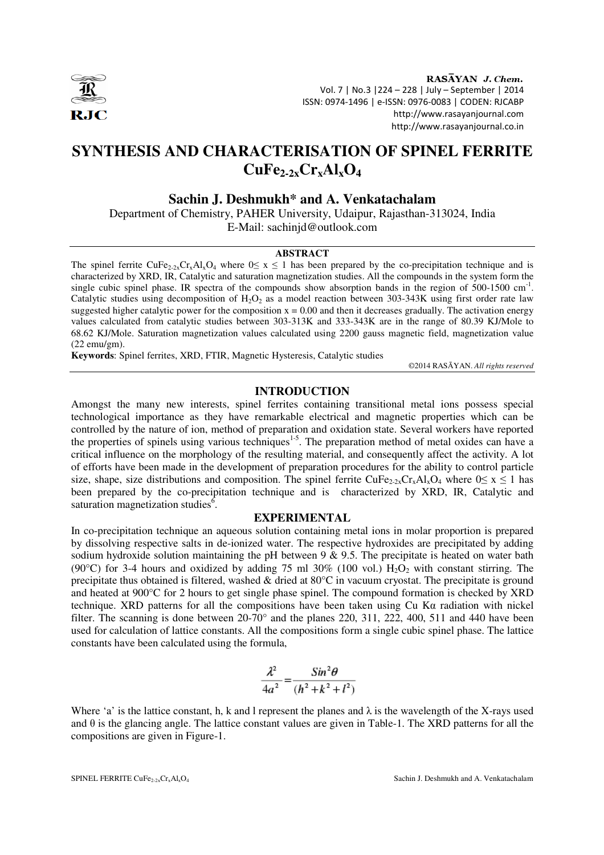

RASAYAN J. Chem. Vol. 7 | No.3 |224 – 228 | July – September | 2014 ISSN: 0974-1496 | e-ISSN: 0976-0083 | CODEN: RJCABP http://www.rasayanjournal.com http://www.rasayanjournal.co.in

# **SYNTHESIS AND CHARACTERISATION OF SPINEL FERRITE CuFe2-2xCrxAlxO<sup>4</sup>**

**Sachin J. Deshmukh\* and A. Venkatachalam** 

Department of Chemistry, PAHER University, Udaipur, Rajasthan-313024, India E-Mail: sachinjd@outlook.com

#### **ABSTRACT**

The spinel ferrite CuFe<sub>2-2x</sub>Cr<sub>x</sub>Al<sub>x</sub>O<sub>4</sub> where  $0 \le x \le 1$  has been prepared by the co-precipitation technique and is characterized by XRD, IR, Catalytic and saturation magnetization studies. All the compounds in the system form the single cubic spinel phase. IR spectra of the compounds show absorption bands in the region of 500-1500 cm<sup>-1</sup>. Catalytic studies using decomposition of H<sub>2</sub>O<sub>2</sub> as a model reaction between  $303-343K$  using first order rate law suggested higher catalytic power for the composition  $x = 0.00$  and then it decreases gradually. The activation energy values calculated from catalytic studies between 303-313K and 333-343K are in the range of 80.39 KJ/Mole to 68.62 KJ/Mole. Saturation magnetization values calculated using 2200 gauss magnetic field, magnetization value (22 emu/gm).

**Keywords**: Spinel ferrites, XRD, FTIR, Magnetic Hysteresis, Catalytic studies

©2014 RASĀYAN. *All rights reserved*

# **INTRODUCTION**

Amongst the many new interests, spinel ferrites containing transitional metal ions possess special technological importance as they have remarkable electrical and magnetic properties which can be controlled by the nature of ion, method of preparation and oxidation state. Several workers have reported the properties of spinels using various techniques<sup>1-5</sup>. The preparation method of metal oxides can have a critical influence on the morphology of the resulting material, and consequently affect the activity. A lot of efforts have been made in the development of preparation procedures for the ability to control particle size, shape, size distributions and composition. The spinel ferrite  $CuFe_{2-2x}Cr_xAl_xO_4$  where  $0 \le x \le 1$  has been prepared by the co-precipitation technique and is characterized by XRD, IR, Catalytic and saturation magnetization studies<sup>6</sup>.

# **EXPERIMENTAL**

In co-precipitation technique an aqueous solution containing metal ions in molar proportion is prepared by dissolving respective salts in de-ionized water. The respective hydroxides are precipitated by adding sodium hydroxide solution maintaining the pH between 9  $\&$  9.5. The precipitate is heated on water bath (90°C) for 3-4 hours and oxidized by adding 75 ml 30% (100 vol.)  $H_2O_2$  with constant stirring. The precipitate thus obtained is filtered, washed & dried at 80°C in vacuum cryostat. The precipitate is ground and heated at 900°C for 2 hours to get single phase spinel. The compound formation is checked by XRD technique. XRD patterns for all the compositions have been taken using Cu Kα radiation with nickel filter. The scanning is done between  $20-70^\circ$  and the planes 220, 311, 222, 400, 511 and 440 have been used for calculation of lattice constants. All the compositions form a single cubic spinel phase. The lattice constants have been calculated using the formula,

$$
\frac{\lambda^2}{4a^2} = \frac{Sin^2\theta}{(h^2 + k^2 + l^2)}
$$

Where 'a' is the lattice constant, h, k and l represent the planes and  $\lambda$  is the wavelength of the X-rays used and  $\theta$  is the glancing angle. The lattice constant values are given in Table-1. The XRD patterns for all the compositions are given in Figure-1.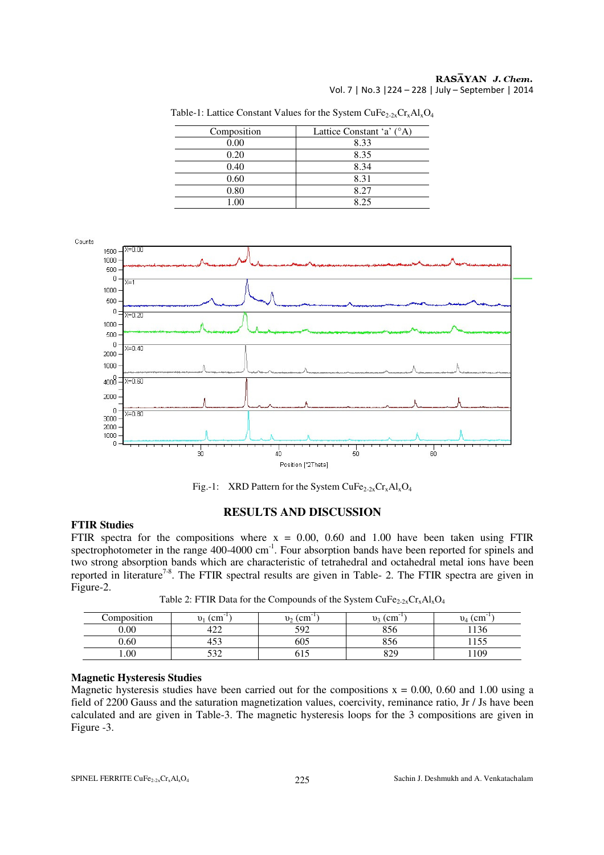### RASĀYAN J. Chem. Vol. 7 | No.3 |224 – 228 | July – September | 2014

| Composition | Lattice Constant 'a' (°A) |
|-------------|---------------------------|
| 0.00        | 8.33                      |
| 0.20        | 8.35                      |
| 0.40        | 8.34                      |
| 0.60        | 8.31                      |
| 0.80        | 8.27                      |
| $\Omega$    | 825                       |

Table-1: Lattice Constant Values for the System CuFe<sub>2-2x</sub>Cr<sub>x</sub>Al<sub>x</sub>O<sub>4</sub>



Fig.-1: XRD Pattern for the System CuFe<sub>2-2x</sub>Cr<sub>x</sub>Al<sub>x</sub>O<sub>4</sub>

# **FTIR Studies**

# **RESULTS AND DISCUSSION**

FTIR spectra for the compositions where  $x = 0.00$ , 0.60 and 1.00 have been taken using FTIR spectrophotometer in the range  $400-4000 \text{ cm}^{-1}$ . Four absorption bands have been reported for spinels and two strong absorption bands which are characteristic of tetrahedral and octahedral metal ions have been reported in literature<sup>7-8</sup>. The FTIR spectral results are given in Table- 2. The FTIR spectra are given in Figure-2.

Table 2: FTIR Data for the Compounds of the System  $CuFe_{2-2x}Cr_xAl_xO_4$ 

| Composition | (c <sub>m</sub> )<br>$v_1$ | $\overline{\phantom{a}}$<br>(cm<br>$v_{2}$ | (c <sub>m</sub> )<br>v <sub>3</sub> | $v_4$ (cm   |
|-------------|----------------------------|--------------------------------------------|-------------------------------------|-------------|
| 0.00        | $1 \cap \cap$<br>444       | 502<br>ے ر                                 | 856                                 | 10<<br>1156 |
| 0.60        | $\sim$<br>40S              | 605                                        | $\sim$ $\sim$ $\sim$<br>30O         |             |
| 00.1        | د ہ<br>ے ت                 | 61 J                                       | 829                                 | 109         |

# **Magnetic Hysteresis Studies**

Magnetic hysteresis studies have been carried out for the compositions  $x = 0.00, 0.60$  and 1.00 using a field of 2200 Gauss and the saturation magnetization values, coercivity, reminance ratio, Jr / Js have been calculated and are given in Table-3. The magnetic hysteresis loops for the 3 compositions are given in Figure -3.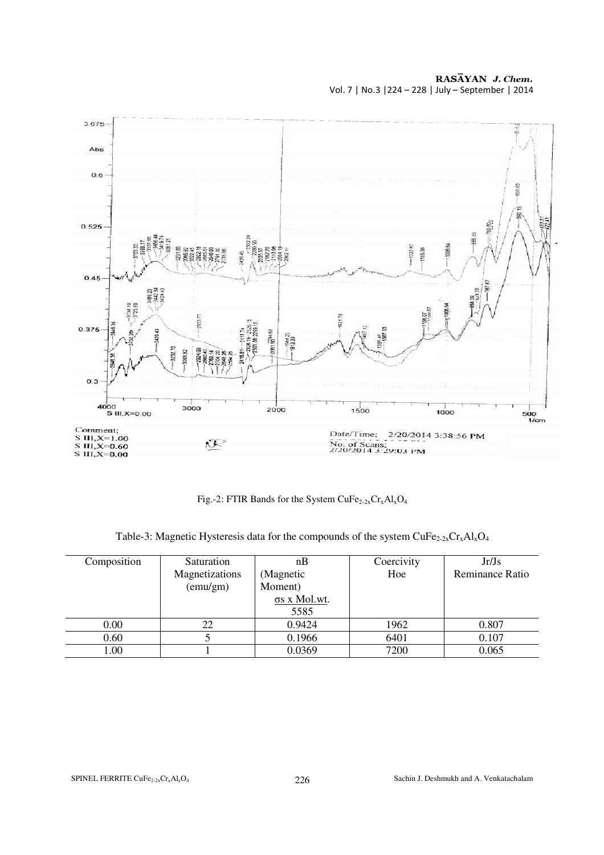RASĀYAN J. Chem. Vol. 7 | No.3 |224 – 228 | July – September | 2014



Fig.-2: FTIR Bands for the System  $CuFe_{2-2x}Cr_xAl_xO_4$ 

Table-3: Magnetic Hysteresis data for the compounds of the system  $CuFe_{2-2x}Cr_xAl_xO_4$ 

| Composition | Saturation     | nВ                   | Coercivity | Jr/Js           |
|-------------|----------------|----------------------|------------|-----------------|
|             | Magnetizations | (Magnetic            | Hoe        | Reminance Ratio |
|             | (emu/gm)       | Moment)              |            |                 |
|             |                | $\sigma s$ x Mol.wt. |            |                 |
|             |                | 5585                 |            |                 |
| 0.00        | 22             | 0.9424               | 1962       | 0.807           |
| 0.60        |                | 0.1966               | 6401       | 0.107           |
| 1.00        |                | 0.0369               | 7200       | 0.065           |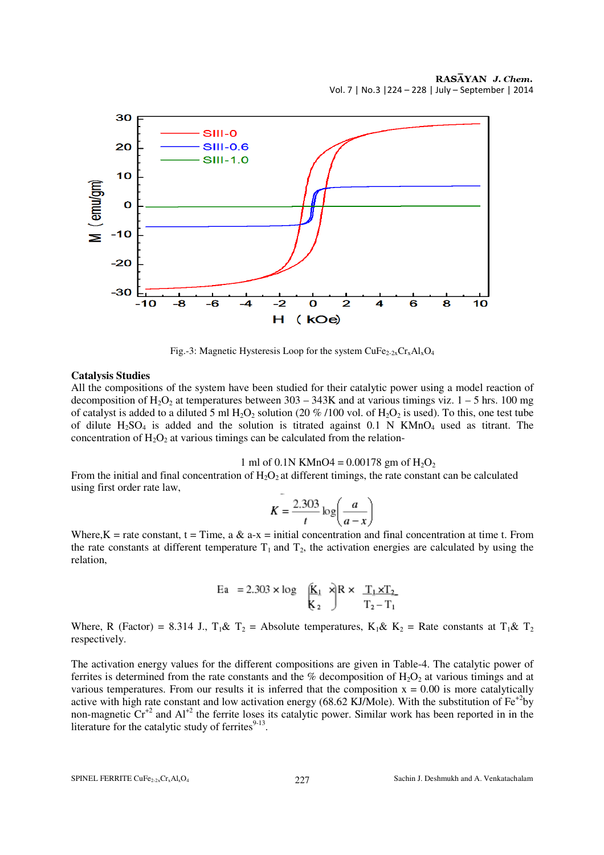

Fig.-3: Magnetic Hysteresis Loop for the system  $CuFe<sub>2-2x</sub>Cr<sub>x</sub>Al<sub>x</sub>O<sub>4</sub>$ 

#### **Catalysis Studies**

All the compositions of the system have been studied for their catalytic power using a model reaction of decomposition of  $H_2O_2$  at temperatures between 303 – 343K and at various timings viz. 1 – 5 hrs. 100 mg of catalyst is added to a diluted 5 ml  $H_2O_2$  solution (20 %/100 vol. of  $H_2O_2$  is used). To this, one test tube of dilute  $H_2SO_4$  is added and the solution is titrated against 0.1 N KMnO<sub>4</sub> used as titrant. The concentration of  $H_2O_2$  at various timings can be calculated from the relation-

1 ml of 0.1N KMnO4 =  $0.00178$  gm of H<sub>2</sub>O<sub>2</sub>

From the initial and final concentration of  $H_2O_2$  at different timings, the rate constant can be calculated using first order rate law,

$$
K = \frac{2.303}{t} \log \left( \frac{a}{a - x} \right)
$$

Where,K = rate constant, t = Time, a & a-x = initial concentration and final concentration at time t. From the rate constants at different temperature  $T_1$  and  $T_2$ , the activation energies are calculated by using the relation,

$$
\text{Ea} = 2.303 \times \log \left( \frac{\mathbf{k}_1}{\mathbf{k}_2} \right) \times \frac{T_1 \times T_2}{T_2 - T_1}
$$

Where, R (Factor) = 8.314 J.,  $T_1 \& T_2$  = Absolute temperatures,  $K_1 \& K_2$  = Rate constants at  $T_1 \& T_2$ respectively.

The activation energy values for the different compositions are given in Table-4. The catalytic power of ferrites is determined from the rate constants and the % decomposition of  $H_2O_2$  at various timings and at various temperatures. From our results it is inferred that the composition  $x = 0.00$  is more catalytically active with high rate constant and low activation energy (68.62 KJ/Mole). With the substitution of  $Fe^{+2}$ by non-magnetic  $Cr^{2}$  and  $Al^{2}$  the ferrite loses its catalytic power. Similar work has been reported in in the literature for the catalytic study of ferrites $9-13$ .